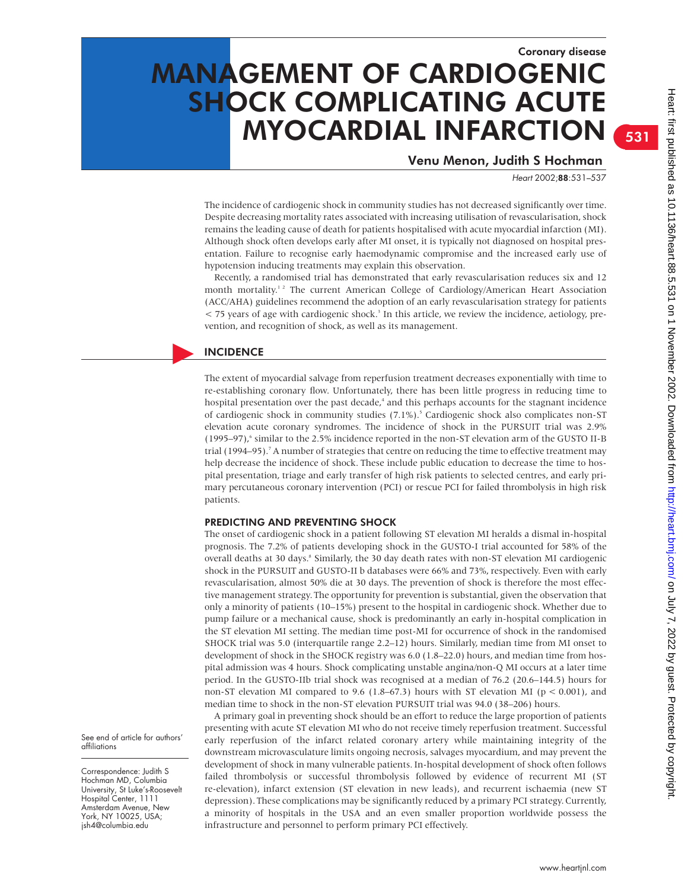# Coronary disease MANAGEMENT OF CARDIOGENIC **SHOCK COMPLICATING ACUTE** MYOCARDIAL INFARCTION

## Venu Menon, Judith S Hochman

Heart 2002;88:531–537

\*<sup>531</sup>

The incidence of cardiogenic shock in community studies has not decreased significantly over time. Despite decreasing mortality rates associated with increasing utilisation of revascularisation, shock remains the leading cause of death for patients hospitalised with acute myocardial infarction (MI). Although shock often develops early after MI onset, it is typically not diagnosed on hospital presentation. Failure to recognise early haemodynamic compromise and the increased early use of hypotension inducing treatments may explain this observation.

Recently, a randomised trial has demonstrated that early revascularisation reduces six and 12 month mortality.<sup>12</sup> The current American College of Cardiology/American Heart Association (ACC/AHA) guidelines recommend the adoption of an early revascularisation strategy for patients  $<$  75 years of age with cardiogenic shock.<sup>3</sup> In this article, we review the incidence, aetiology, prevention, and recognition of shock, as well as its management.

## **INCIDENCE**

The extent of myocardial salvage from reperfusion treatment decreases exponentially with time to re-establishing coronary flow. Unfortunately, there has been little progress in reducing time to hospital presentation over the past decade,<sup>4</sup> and this perhaps accounts for the stagnant incidence of cardiogenic shock in community studies (7.1%).<sup>5</sup> Cardiogenic shock also complicates non-ST elevation acute coronary syndromes. The incidence of shock in the PURSUIT trial was 2.9% (1995–97),<sup>6</sup> similar to the 2.5% incidence reported in the non-ST elevation arm of the GUSTO II-B trial (1994–95).<sup>7</sup> A number of strategies that centre on reducing the time to effective treatment may help decrease the incidence of shock. These include public education to decrease the time to hospital presentation, triage and early transfer of high risk patients to selected centres, and early primary percutaneous coronary intervention (PCI) or rescue PCI for failed thrombolysis in high risk patients.

#### PREDICTING AND PREVENTING SHOCK

The onset of cardiogenic shock in a patient following ST elevation MI heralds a dismal in-hospital prognosis. The 7.2% of patients developing shock in the GUSTO-I trial accounted for 58% of the overall deaths at 30 days.<sup>8</sup> Similarly, the 30 day death rates with non-ST elevation MI cardiogenic shock in the PURSUIT and GUSTO-II b databases were 66% and 73%, respectively. Even with early revascularisation, almost 50% die at 30 days. The prevention of shock is therefore the most effective management strategy. The opportunity for prevention is substantial, given the observation that only a minority of patients (10–15%) present to the hospital in cardiogenic shock. Whether due to pump failure or a mechanical cause, shock is predominantly an early in-hospital complication in the ST elevation MI setting. The median time post-MI for occurrence of shock in the randomised SHOCK trial was 5.0 (interquartile range 2.2–12) hours. Similarly, median time from MI onset to development of shock in the SHOCK registry was 6.0 (1.8–22.0) hours, and median time from hospital admission was 4 hours. Shock complicating unstable angina/non-Q MI occurs at a later time period. In the GUSTO-IIb trial shock was recognised at a median of 76.2 (20.6–144.5) hours for non-ST elevation MI compared to 9.6 (1.8–67.3) hours with ST elevation MI ( $p < 0.001$ ), and median time to shock in the non-ST elevation PURSUIT trial was 94.0 (38–206) hours.

A primary goal in preventing shock should be an effort to reduce the large proportion of patients presenting with acute ST elevation MI who do not receive timely reperfusion treatment. Successful early reperfusion of the infarct related coronary artery while maintaining integrity of the downstream microvasculature limits ongoing necrosis, salvages myocardium, and may prevent the development of shock in many vulnerable patients. In-hospital development of shock often follows failed thrombolysis or successful thrombolysis followed by evidence of recurrent MI (ST re-elevation), infarct extension (ST elevation in new leads), and recurrent ischaemia (new ST depression). These complications may be significantly reduced by a primary PCI strategy. Currently, a minority of hospitals in the USA and an even smaller proportion worldwide possess the infrastructure and personnel to perform primary PCI effectively.

See end of article for authors' affiliations

Correspondence: Judith S Hochman MD, Columbia University, St Luke's-Roosevelt Hospital Center, 1111 Amsterdam Avenue, New York, NY 10025, USA; jsh4@columbia.edu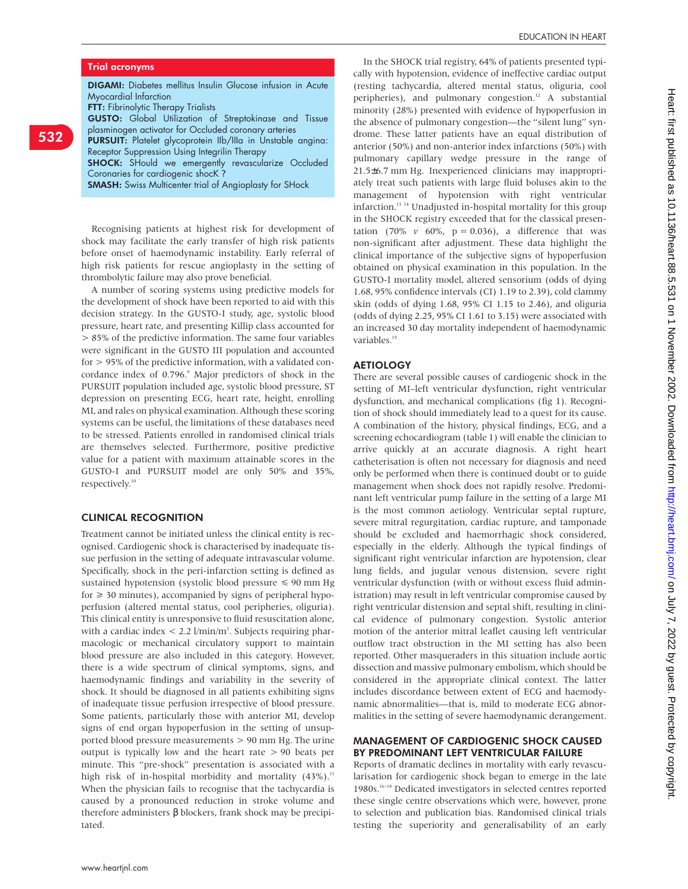<sup>532</sup>\*

DIGAMI: Diabetes mellitus Insulin Glucose infusion in Acute Myocardial Infarction **FTT: Fibrinolytic Therapy Trialists** GUSTO: Global Utilization of Streptokinase and Tissue plasminogen activator for Occluded coronary arteries PURSUIT: Platelet glycoprotein IIb/IIIa in Unstable angina: Receptor Suppression Using Integrilin Therapy **SHOCK:** SHould we emergently revascularize Occluded Coronaries for cardiogenic shocK ? SMASH: Swiss Multicenter trial of Angioplasty for SHock

Recognising patients at highest risk for development of shock may facilitate the early transfer of high risk patients before onset of haemodynamic instability. Early referral of high risk patients for rescue angioplasty in the setting of thrombolytic failure may also prove beneficial.

A number of scoring systems using predictive models for the development of shock have been reported to aid with this decision strategy. In the GUSTO-I study, age, systolic blood pressure, heart rate, and presenting Killip class accounted for > 85% of the predictive information. The same four variables were significant in the GUSTO III population and accounted for > 95% of the predictive information, with a validated concordance index of 0.796.<sup>9</sup> Major predictors of shock in the PURSUIT population included age, systolic blood pressure, ST depression on presenting ECG, heart rate, height, enrolling MI, and rales on physical examination. Although these scoring systems can be useful, the limitations of these databases need to be stressed. Patients enrolled in randomised clinical trials are themselves selected. Furthermore, positive predictive value for a patient with maximum attainable scores in the GUSTO-I and PURSUIT model are only 50% and 35%, respectively.<sup>10</sup>

#### CLINICAL RECOGNITION

Treatment cannot be initiated unless the clinical entity is recognised. Cardiogenic shock is characterised by inadequate tissue perfusion in the setting of adequate intravascular volume. Specifically, shock in the peri-infarction setting is defined as sustained hypotension (systolic blood pressure  $\leq 90$  mm Hg for  $\geq$  30 minutes), accompanied by signs of peripheral hypoperfusion (altered mental status, cool peripheries, oliguria). This clinical entity is unresponsive to fluid resuscitation alone, with a cardiac index  $\langle 2.2 \text{ l/min/m}^2$ . Subjects requiring pharmacologic or mechanical circulatory support to maintain blood pressure are also included in this category. However, there is a wide spectrum of clinical symptoms, signs, and haemodynamic findings and variability in the severity of shock. It should be diagnosed in all patients exhibiting signs of inadequate tissue perfusion irrespective of blood pressure. Some patients, particularly those with anterior MI, develop signs of end organ hypoperfusion in the setting of unsupported blood pressure measurements > 90 mm Hg. The urine output is typically low and the heart rate > 90 beats per minute. This "pre-shock" presentation is associated with a high risk of in-hospital morbidity and mortality  $(43\%)$ .<sup>11</sup> When the physician fails to recognise that the tachycardia is caused by a pronounced reduction in stroke volume and therefore administers β blockers, frank shock may be precipitated.

In the SHOCK trial registry, 64% of patients presented typically with hypotension, evidence of ineffective cardiac output (resting tachycardia, altered mental status, oliguria, cool peripheries), and pulmonary congestion. $12$  A substantial minority (28%) presented with evidence of hypoperfusion in the absence of pulmonary congestion—the "silent lung" syndrome. These latter patients have an equal distribution of anterior (50%) and non-anterior index infarctions (50%) with pulmonary capillary wedge pressure in the range of 21.5±6.7 mm Hg. Inexperienced clinicians may inappropriately treat such patients with large fluid boluses akin to the management of hypotension with right ventricular infarction.13 14 Unadjusted in-hospital mortality for this group in the SHOCK registry exceeded that for the classical presentation (70%  $v$  60%,  $p = 0.036$ ), a difference that was non-significant after adjustment. These data highlight the clinical importance of the subjective signs of hypoperfusion obtained on physical examination in this population. In the GUSTO-I mortality model, altered sensorium (odds of dying 1.68, 95% confidence intervals (CI) 1.19 to 2.39), cold clammy skin (odds of dying 1.68, 95% CI 1.15 to 2.46), and oliguria (odds of dying 2.25, 95% CI 1.61 to 3.15) were associated with an increased 30 day mortality independent of haemodynamic variables.<sup>15</sup>

#### **AETIOLOGY**

There are several possible causes of cardiogenic shock in the setting of MI–left ventricular dysfunction, right ventricular dysfunction, and mechanical complications (fig 1). Recognition of shock should immediately lead to a quest for its cause. A combination of the history, physical findings, ECG, and a screening echocardiogram (table 1) will enable the clinician to arrive quickly at an accurate diagnosis. A right heart catheterisation is often not necessary for diagnosis and need only be performed when there is continued doubt or to guide management when shock does not rapidly resolve. Predominant left ventricular pump failure in the setting of a large MI is the most common aetiology. Ventricular septal rupture, severe mitral regurgitation, cardiac rupture, and tamponade should be excluded and haemorrhagic shock considered, especially in the elderly. Although the typical findings of significant right ventricular infarction are hypotension, clear lung fields, and jugular venous distension, severe right ventricular dysfunction (with or without excess fluid administration) may result in left ventricular compromise caused by right ventricular distension and septal shift, resulting in clinical evidence of pulmonary congestion. Systolic anterior motion of the anterior mitral leaflet causing left ventricular outflow tract obstruction in the MI setting has also been reported. Other masqueraders in this situation include aortic dissection and massive pulmonary embolism, which should be considered in the appropriate clinical context. The latter includes discordance between extent of ECG and haemodynamic abnormalities—that is, mild to moderate ECG abnormalities in the setting of severe haemodynamic derangement.

## MANAGEMENT OF CARDIOGENIC SHOCK CAUSED BY PREDOMINANT LEFT VENTRICULAR FAILURE

Reports of dramatic declines in mortality with early revascularisation for cardiogenic shock began to emerge in the late 1980s.16–18 Dedicated investigators in selected centres reported these single centre observations which were, however, prone to selection and publication bias. Randomised clinical trials testing the superiority and generalisability of an early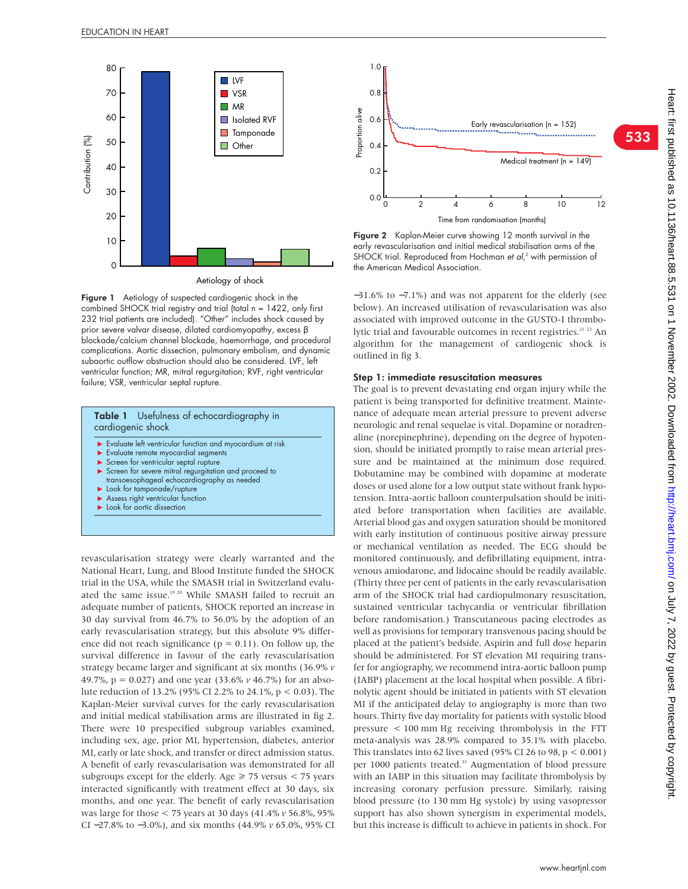

**Figure 1** Aetiology of suspected cardiogenic shock in the combined SHOCK trial registry and trial (total n = 1422, only first 232 trial patients are included). "Other" includes shock caused by prior severe valvar disease, dilated cardiomyopathy, excess β blockade/calcium channel blockade, haemorrhage, and procedural complications. Aortic dissection, pulmonary embolism, and dynamic subaortic outflow obstruction should also be considered. LVF, left ventricular function; MR, mitral regurgitation; RVF, right ventricular failure; VSR, ventricular septal rupture.

Table 1 Usefulness of echocardiography in cardiogenic shock

- $\blacktriangleright$  Evaluate left ventricular function and myocardium at risk
- $\blacktriangleright$  Evaluate remote myocardial segments
- Screen for ventricular septal rupture
- Screen for severe mitral regurgitation and proceed to
- transoesophageal echocardiography as needed
- $\blacktriangleright$  Look for tamponade/rupture  $\triangleright$  Assess right ventricular function
- $\blacktriangleright$  Look for aortic dissection
- 

revascularisation strategy were clearly warranted and the National Heart, Lung, and Blood Institute funded the SHOCK trial in the USA, while the SMASH trial in Switzerland evaluated the same issue.<sup>19 20</sup> While SMASH failed to recruit an adequate number of patients, SHOCK reported an increase in 30 day survival from 46.7% to 56.0% by the adoption of an early revascularisation strategy, but this absolute 9% difference did not reach significance ( $p = 0.11$ ). On follow up, the survival difference in favour of the early revascularisation strategy became larger and significant at six months (36.9% *v* 49.7%, p = 0.027) and one year (33.6% *v* 46.7%) for an absolute reduction of 13.2% (95% CI 2.2% to 24.1%, p < 0.03). The Kaplan-Meier survival curves for the early revascularisation and initial medical stabilisation arms are illustrated in fig 2. There were 10 prespecified subgroup variables examined, including sex, age, prior MI, hypertension, diabetes, anterior MI, early or late shock, and transfer or direct admission status. A benefit of early revascularisation was demonstrated for all subgroups except for the elderly. Age  $\geq$  75 versus < 75 years interacted significantly with treatment effect at 30 days, six months, and one year. The benefit of early revascularisation was large for those < 75 years at 30 days (41.4% *v* 56.8%, 95% CI −27.8% to −3.0%), and six months (44.9% *v* 65.0%, 95% CI



Figure 2 Kaplan-Meier curve showing 12 month survival in the early revascularisation and initial medical stabilisation arms of the SHOCK trial. Reproduced from Hochman et al, <sup>2</sup> with permission of the American Medical Association.

−31.6% to −7.1%) and was not apparent for the elderly (see below). An increased utilisation of revascularisation was also associated with improved outcome in the GUSTO-I thrombolytic trial and favourable outcomes in recent registries.<sup>21</sup> <sup>22</sup> An algorithm for the management of cardiogenic shock is outlined in fig 3.

#### Step 1: immediate resuscitation measures

The goal is to prevent devastating end organ injury while the patient is being transported for definitive treatment. Maintenance of adequate mean arterial pressure to prevent adverse neurologic and renal sequelae is vital. Dopamine or noradrenaline (norepinephrine), depending on the degree of hypotension, should be initiated promptly to raise mean arterial pressure and be maintained at the minimum dose required. Dobutamine may be combined with dopamine at moderate doses or used alone for a low output state without frank hypotension. Intra-aortic balloon counterpulsation should be initiated before transportation when facilities are available. Arterial blood gas and oxygen saturation should be monitored with early institution of continuous positive airway pressure or mechanical ventilation as needed. The ECG should be monitored continuously, and defibrillating equipment, intravenous amiodarone, and lidocaine should be readily available. (Thirty three per cent of patients in the early revascularisation arm of the SHOCK trial had cardiopulmonary resuscitation, sustained ventricular tachycardia or ventricular fibrillation before randomisation.) Transcutaneous pacing electrodes as well as provisions for temporary transvenous pacing should be placed at the patient's bedside. Aspirin and full dose heparin should be administered. For ST elevation MI requiring transfer for angiography, we recommend intra-aortic balloon pump (IABP) placement at the local hospital when possible. A fibrinolytic agent should be initiated in patients with ST elevation MI if the anticipated delay to angiography is more than two hours. Thirty five day mortality for patients with systolic blood pressure < 100 mm Hg receiving thrombolysis in the FTT meta-analysis was 28.9% compared to 35.1% with placebo. This translates into 62 lives saved (95% CI 26 to 98,  $p < 0.001$ ) per 1000 patients treated.<sup>23</sup> Augmentation of blood pressure with an IABP in this situation may facilitate thrombolysis by increasing coronary perfusion pressure. Similarly, raising blood pressure (to 130 mm Hg systole) by using vasopressor support has also shown synergism in experimental models, but this increase is difficult to achieve in patients in shock. For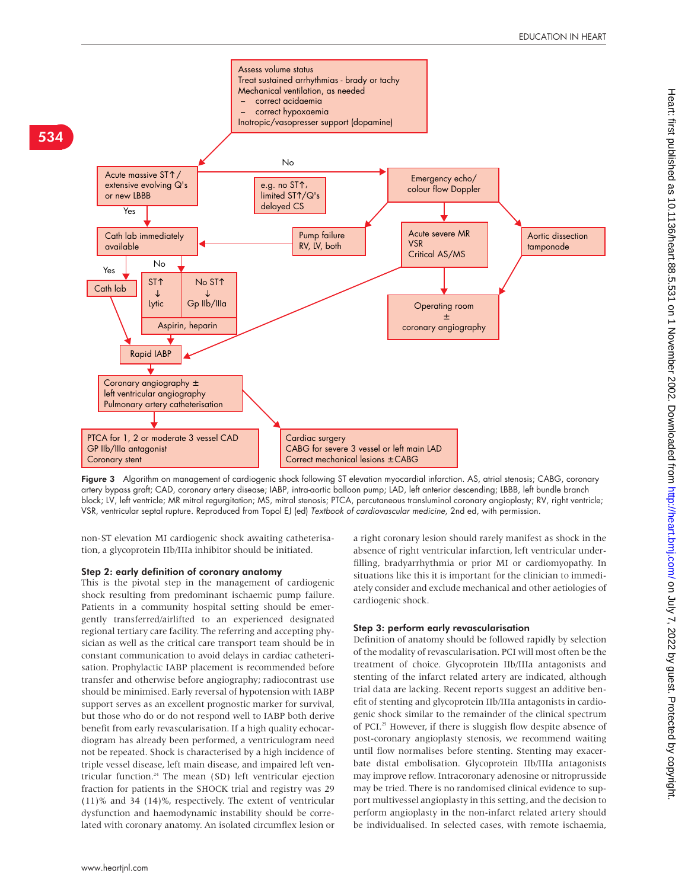

Figure 3 Algorithm on management of cardiogenic shock following ST elevation myocardial infarction. AS, atrial stenosis; CABG, coronary artery bypass graft; CAD, coronary artery disease; IABP, intra-aortic balloon pump; LAD, left anterior descending; LBBB, left bundle branch block; LV, left ventricle; MR mitral regurgitation; MS, mitral stenosis; PTCA, percutaneous transluminol coronary angioplasty; RV, right ventricle; VSR, ventricular septal rupture. Reproduced from Topol EJ (ed) Textbook of cardiovascular medicine, 2nd ed, with permission.

non-ST elevation MI cardiogenic shock awaiting catheterisation, a glycoprotein IIb/IIIa inhibitor should be initiated.

#### Step 2: early definition of coronary anatomy

This is the pivotal step in the management of cardiogenic shock resulting from predominant ischaemic pump failure. Patients in a community hospital setting should be emergently transferred/airlifted to an experienced designated regional tertiary care facility. The referring and accepting physician as well as the critical care transport team should be in constant communication to avoid delays in cardiac catheterisation. Prophylactic IABP placement is recommended before transfer and otherwise before angiography; radiocontrast use should be minimised. Early reversal of hypotension with IABP support serves as an excellent prognostic marker for survival, but those who do or do not respond well to IABP both derive benefit from early revascularisation. If a high quality echocardiogram has already been performed, a ventriculogram need not be repeated. Shock is characterised by a high incidence of triple vessel disease, left main disease, and impaired left ventricular function.<sup>24</sup> The mean (SD) left ventricular ejection fraction for patients in the SHOCK trial and registry was 29 (11)% and 34 (14)%, respectively. The extent of ventricular dysfunction and haemodynamic instability should be correlated with coronary anatomy. An isolated circumflex lesion or

a right coronary lesion should rarely manifest as shock in the absence of right ventricular infarction, left ventricular underfilling, bradyarrhythmia or prior MI or cardiomyopathy. In situations like this it is important for the clinician to immediately consider and exclude mechanical and other aetiologies of cardiogenic shock.

## Step 3: perform early revascularisation

Definition of anatomy should be followed rapidly by selection of the modality of revascularisation. PCI will most often be the treatment of choice. Glycoprotein IIb/IIIa antagonists and stenting of the infarct related artery are indicated, although trial data are lacking. Recent reports suggest an additive benefit of stenting and glycoprotein IIb/IIIa antagonists in cardiogenic shock similar to the remainder of the clinical spectrum of PCI.<sup>25</sup> However, if there is sluggish flow despite absence of post-coronary angioplasty stenosis, we recommend waiting until flow normalises before stenting. Stenting may exacerbate distal embolisation. Glycoprotein IIb/IIIa antagonists may improve reflow. Intracoronary adenosine or nitroprusside may be tried. There is no randomised clinical evidence to support multivessel angioplasty in this setting, and the decision to perform angioplasty in the non-infarct related artery should be individualised. In selected cases, with remote ischaemia,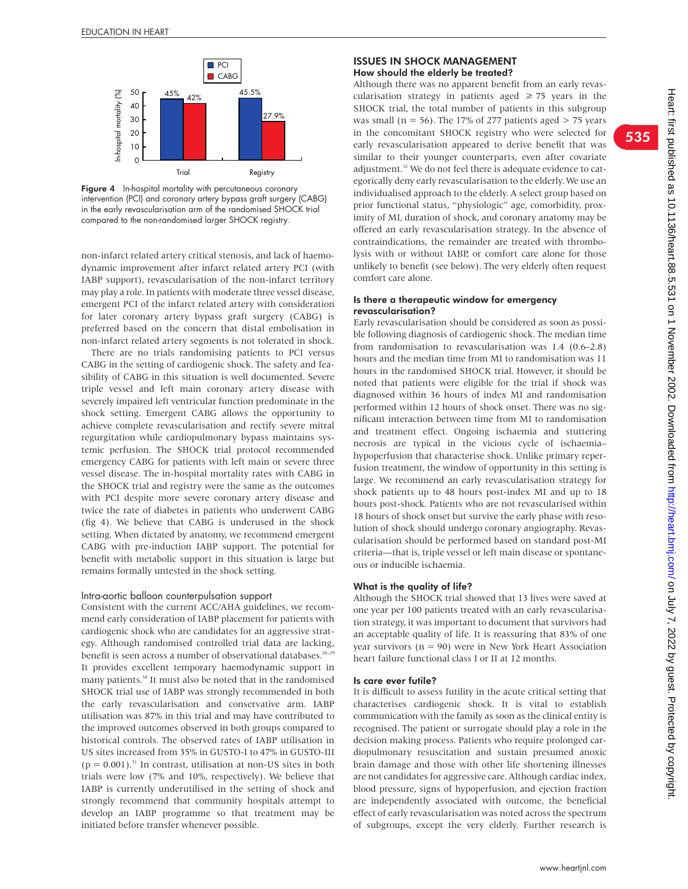

Figure 4 In-hospital mortality with percutaneous coronary intervention (PCI) and coronary artery bypass graft surgery (CABG) in the early revascularisation arm of the randomised SHOCK trial compared to the non-randomised larger SHOCK registry.

non-infarct related artery critical stenosis, and lack of haemodynamic improvement after infarct related artery PCI (with IABP support), revascularisation of the non-infarct territory may play a role. In patients with moderate three vessel disease, emergent PCI of the infarct related artery with consideration for later coronary artery bypass graft surgery (CABG) is preferred based on the concern that distal embolisation in non-infarct related artery segments is not tolerated in shock.

There are no trials randomising patients to PCI versus CABG in the setting of cardiogenic shock. The safety and feasibility of CABG in this situation is well documented. Severe triple vessel and left main coronary artery disease with severely impaired left ventricular function predominate in the shock setting. Emergent CABG allows the opportunity to achieve complete revascularisation and rectify severe mitral regurgitation while cardiopulmonary bypass maintains systemic perfusion. The SHOCK trial protocol recommended emergency CABG for patients with left main or severe three vessel disease. The in-hospital mortality rates with CABG in the SHOCK trial and registry were the same as the outcomes with PCI despite more severe coronary artery disease and twice the rate of diabetes in patients who underwent CABG (fig 4). We believe that CABG is underused in the shock setting. When dictated by anatomy, we recommend emergent CABG with pre-induction IABP support. The potential for benefit with metabolic support in this situation is large but remains formally untested in the shock setting.

#### Intra-aortic balloon counterpulsation support

Consistent with the current ACC/AHA guidelines, we recommend early consideration of IABP placement for patients with cardiogenic shock who are candidates for an aggressive strategy. Although randomised controlled trial data are lacking, benefit is seen across a number of observational databases.<sup>26-29</sup> It provides excellent temporary haemodynamic support in many patients.<sup>30</sup> It must also be noted that in the randomised SHOCK trial use of IABP was strongly recommended in both the early revascularisation and conservative arm. IABP utilisation was 87% in this trial and may have contributed to the improved outcomes observed in both groups compared to historical controls. The observed rates of IABP utilisation in US sites increased from 35% in GUSTO-I to 47% in GUSTO-III  $(p = 0.001)$ .<sup>31</sup> In contrast, utilisation at non-US sites in both trials were low (7% and 10%, respectively). We believe that IABP is currently underutilised in the setting of shock and strongly recommend that community hospitals attempt to develop an IABP programme so that treatment may be initiated before transfer whenever possible.

## ISSUES IN SHOCK MANAGEMENT How should the elderly be treated?

Although there was no apparent benefit from an early revascularisation strategy in patients aged  $\geq 75$  years in the SHOCK trial, the total number of patients in this subgroup was small ( $n = 56$ ). The 17% of 277 patients aged  $> 75$  years in the concomitant SHOCK registry who were selected for early revascularisation appeared to derive benefit that was similar to their younger counterparts, even after covariate adjustment.<sup>32</sup> We do not feel there is adequate evidence to categorically deny early revascularisation to the elderly.We use an individualised approach to the elderly. A select group based on prior functional status, "physiologic" age, comorbidity, proximity of MI, duration of shock, and coronary anatomy may be offered an early revascularisation strategy. In the absence of contraindications, the remainder are treated with thrombolysis with or without IABP, or comfort care alone for those unlikely to benefit (see below). The very elderly often request comfort care alone.

## Is there a therapeutic window for emergency revascularisation?

Early revascularisation should be considered as soon as possible following diagnosis of cardiogenic shock. The median time from randomisation to revascularisation was 1.4 (0.6–2.8) hours and the median time from MI to randomisation was 11 hours in the randomised SHOCK trial. However, it should be noted that patients were eligible for the trial if shock was diagnosed within 36 hours of index MI and randomisation performed within 12 hours of shock onset. There was no significant interaction between time from MI to randomisation and treatment effect. Ongoing ischaemia and stuttering necrosis are typical in the vicious cycle of ischaemia– hypoperfusion that characterise shock. Unlike primary reperfusion treatment, the window of opportunity in this setting is large. We recommend an early revascularisation strategy for shock patients up to 48 hours post-index MI and up to 18 hours post-shock. Patients who are not revascularised within 18 hours of shock onset but survive the early phase with resolution of shock should undergo coronary angiography. Revascularisation should be performed based on standard post-MI criteria—that is, triple vessel or left main disease or spontaneous or inducible ischaemia.

## What is the quality of life?

Although the SHOCK trial showed that 13 lives were saved at one year per 100 patients treated with an early revascularisation strategy, it was important to document that survivors had an acceptable quality of life. It is reassuring that 83% of one year survivors ( $n = 90$ ) were in New York Heart Association heart failure functional class I or II at 12 months.

#### Is care ever futile?

It is difficult to assess futility in the acute critical setting that characterises cardiogenic shock. It is vital to establish communication with the family as soon as the clinical entity is recognised. The patient or surrogate should play a role in the decision making process. Patients who require prolonged cardiopulmonary resuscitation and sustain presumed anoxic brain damage and those with other life shortening illnesses are not candidates for aggressive care. Although cardiac index, blood pressure, signs of hypoperfusion, and ejection fraction are independently associated with outcome, the beneficial effect of early revascularisation was noted across the spectrum of subgroups, except the very elderly. Further research is \*<sup>535</sup>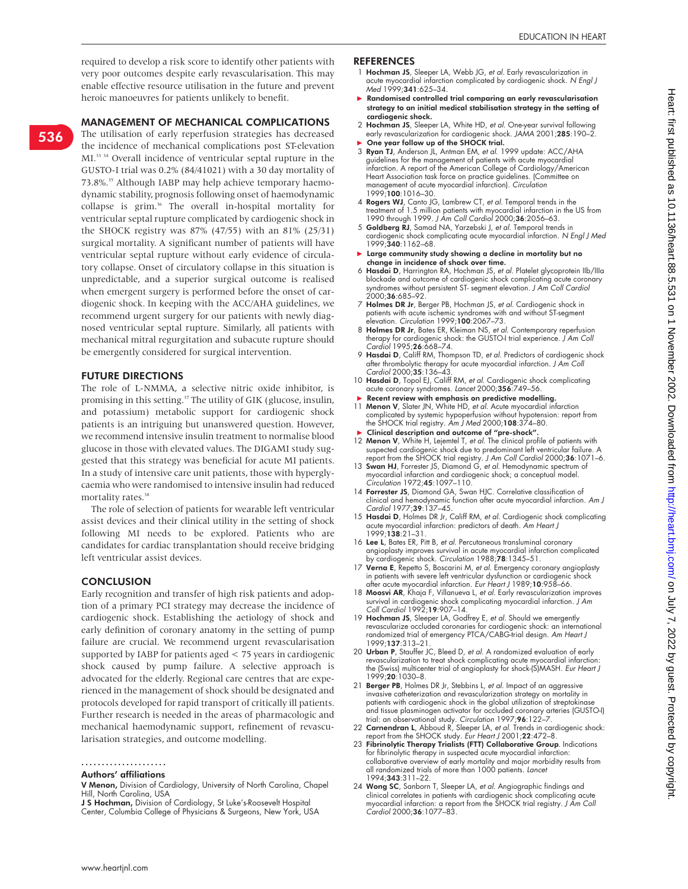required to develop a risk score to identify other patients with very poor outcomes despite early revascularisation. This may enable effective resource utilisation in the future and prevent heroic manoeuvres for patients unlikely to benefit.

<sup>536</sup>\*

#### MANAGEMENT OF MECHANICAL COMPLICATIONS

The utilisation of early reperfusion strategies has decreased the incidence of mechanical complications post ST-elevation MI.33 34 Overall incidence of ventricular septal rupture in the GUSTO-I trial was 0.2% (84/41021) with a 30 day mortality of 73.8%.<sup>35</sup> Although IABP may help achieve temporary haemodynamic stability, prognosis following onset of haemodynamic collapse is grim.36 The overall in-hospital mortality for ventricular septal rupture complicated by cardiogenic shock in the SHOCK registry was 87% (47/55) with an 81% (25/31) surgical mortality. A significant number of patients will have ventricular septal rupture without early evidence of circulatory collapse. Onset of circulatory collapse in this situation is unpredictable, and a superior surgical outcome is realised when emergent surgery is performed before the onset of cardiogenic shock. In keeping with the ACC/AHA guidelines, we recommend urgent surgery for our patients with newly diagnosed ventricular septal rupture. Similarly, all patients with mechanical mitral regurgitation and subacute rupture should be emergently considered for surgical intervention.

#### FUTURE DIRECTIONS

The role of L-NMMA, a selective nitric oxide inhibitor, is promising in this setting.<sup>37</sup> The utility of GIK (glucose, insulin, and potassium) metabolic support for cardiogenic shock patients is an intriguing but unanswered question. However, we recommend intensive insulin treatment to normalise blood glucose in those with elevated values. The DIGAMI study suggested that this strategy was beneficial for acute MI patients. In a study of intensive care unit patients, those with hyperglycaemia who were randomised to intensive insulin had reduced mortality rates.<sup>38</sup>

The role of selection of patients for wearable left ventricular assist devices and their clinical utility in the setting of shock following MI needs to be explored. Patients who are candidates for cardiac transplantation should receive bridging left ventricular assist devices.

#### **CONCLUSION**

Early recognition and transfer of high risk patients and adoption of a primary PCI strategy may decrease the incidence of cardiogenic shock. Establishing the aetiology of shock and early definition of coronary anatomy in the setting of pump failure are crucial. We recommend urgent revascularisation supported by IABP for patients aged < 75 years in cardiogenic shock caused by pump failure. A selective approach is advocated for the elderly. Regional care centres that are experienced in the management of shock should be designated and protocols developed for rapid transport of critically ill patients. Further research is needed in the areas of pharmacologic and mechanical haemodynamic support, refinement of revascularisation strategies, and outcome modelling.

.....................

#### Authors' affiliations

#### REFERENCES

- 1 Hochman JS, Sleeper LA, Webb JG, et al. Early revascularization in acute myocardial infarction complicated by cardiogenic shock. N Engl J Med 1999;341:625-34.
- $\blacktriangleright$  Randomised controlled trial comparing an early revascularisation strategy to an initial medical stabilisation strategy in the setting of cardiogenic shock.
- 2 Hochman JS, Sleeper LA, White HD, et al. One-year survival following early revascularization for cardiogenic shock. JAMA 2001;285:190–2. One year follow up of the SHOCK trial.
- 3 Ryan TJ, Anderson JL, Antman EM, et al. 1999 update: ACC/AHA guidelines for the management of patients with acute myocardial infarction. A report of the American College of Cardiology/American Heart Association task force on practice guidelines. (Committee on management of acute myocardial infarction). Circulation 1999;100:1016–30.
- 4 Rogers WJ, Canto JG, Lambrew CT, et al. Temporal trends in the treatment of 1.5 million patients with myocardial infarction in the US from 1990 through 1999. J Am Coll Cardiol 2000;36:2056-63.
- 5 Goldberg RJ, Samad NA, Yarzebski J, et al. Temporal trends in cardiogenic shock complicating acute myocardial infarction. N Engl J Med 1999;340:1162–68.
- $\blacktriangleright$  Large community study showing a decline in mortality but no change in incidence of shock over time.
- 6 Hasdai D, Harrington RA, Hochman JS, et al. Platelet glycoprotein IIb/IIIa blockade and outcome of cardiogenic shock complicating acute coronary syndromes without persistent ST- segment elevation. J Am Coll Cardiol 2000;36:685–92.
- 7 Holmes DR Jr, Berger PB, Hochman JS, et al. Cardiogenic shock in patients with acute ischemic syndromes with and without ST-segment elevation. Circulation 1999;100:2067–73.
- 8 Holmes DR Jr, Bates ER, Kleiman NS, et al. Contemporary reperfusion therapy for cardiogenic shock: the GUSTO-I trial experience. J Am Coll Cardiol 1995;26:668–74.
- 9 Hasdai D, Califf RM, Thompson TD, et al. Predictors of cardiogenic shock after thrombolytic therapy for acute myocardial infarction. J Am Coll Cardiol 2000;35:136–43.
- 10 Hasdai D, Topol EJ, Califf RM, et al. Cardiogenic shock complicating acute coronary syndromes. Lancet 2000;356:749–56.
- Recent review with emphasis on predictive modelling 11 Menon V, Slater JN, White HD, et al. Acute myocardial infarction
- complicated by systemic hypoperfusion without hypotension: report from the SHOCK trial registry. Am J Med 2000;108:374-80. Clinical description and outcome of "pre-shock".
- 12 Menon V, White H, Lejemtel T, et al. The clinical profile of patients with
- suspected cardiogenic shock due to predominant left ventricular failure. A report from the SHOCK trial registry. J Am Coll Cardiol 2000;36:1071–6.<br>13 Swan HJ, Forrester JS, Diamond G, et al. Hemodynamic spectrum of
- myocardial infarction and cardiogenic shock; a conceptual model. Circulation 1972;45:1097–110.
- 14 Forrester JS, Diamond GA, Swan HJC. Correlative classification of clinical and hemodynamic function after acute myocardial infarction. Am J Cardiol 1977;39:137–45.
- 15 Hasdai D, Holmes DR Jr, Califf RM, et al. Cardiogenic shock complicating acute myocardial infarction: predictors of death. Am Heart J 1999;138:21–31.
- 16 Lee L, Bates ER, Pitt B, et al. Percutaneous transluminal coronary angioplasty improves survival in acute myocardial infarction complicated by cardiogenic shock. Circulation 1988;78:1345-51.
- 17 Verna E, Repetto S, Boscarini M, et al. Emergency coronary angioplasty in patients with severe left ventricular dysfunction or cardiogenic shock<br>after acute myocardial infarction. *Eur Heart* J 1989;**10**:958–66.
- 18 Moosvi AR, Khaja F, Villanueva L, et al. Early revascularization improves survival in cardiogenic shock complicating myocardial infarction. J Am Coll Cardiol 1992;19:907-14.
- 19 Hochman JS, Sleeper LA, Godfrey E, et al. Should we emergently revascularize occluded coronaries for cardiogenic shock: an international randomized trial of emergency PTCA/CABG-trial design. Am Heart J 1999;137:313–21.
- 20 Urban P, Stauffer JC, Bleed D, et al. A randomized evaluation of early revascularization to treat shock complicating acute myocardial infarction: the (Swiss) multicenter trial of angioplasty for shock-(S)MASH. Eur Heart J 1999∙20∶1030–8.
- 21 Berger PB, Holmes DR Jr, Stebbins L, et al. Impact of an aggressive invasive catheterization and revascularization strategy on mortality in patients with cardiogenic shock in the global utilization of streptokinase and tissue plasminogen activator for occluded coronary arteries (GUSTO-I) trial: an observational study. Circulation 1997;96:122–7.
- 22 Carnendran L, Abboud R, Sleeper LA, et al. Trends in cardiogenic shock: report from the SHOCK study. Eur Heart J 2001;22:472–8.
- 23 Fibrinolytic Therapy Trialists (FTT) Collaborative Group. Indications for fibrinolytic therapy in suspected acute myocardial infarction: collaborative overview of early mortality and major morbidity results from all randomized trials of more than 1000 patients. Lancet 1994;343:311–22.
- 24 Wong SC, Sanborn T, Sleeper LA, et al. Angiographic findings and clinical correlates in patients with cardiogenic shock complicating acute myocardial infarction: a report from the SHOCK trial registry. J Am Coll Cardiol 2000;36:1077–83.

V Menon, Division of Cardiology, University of North Carolina, Chapel Hill, North Carolina, USA

J S Hochman, Division of Cardiology, St Luke's-Roosevelt Hospital Center, Columbia College of Physicians & Surgeons, New York, USA